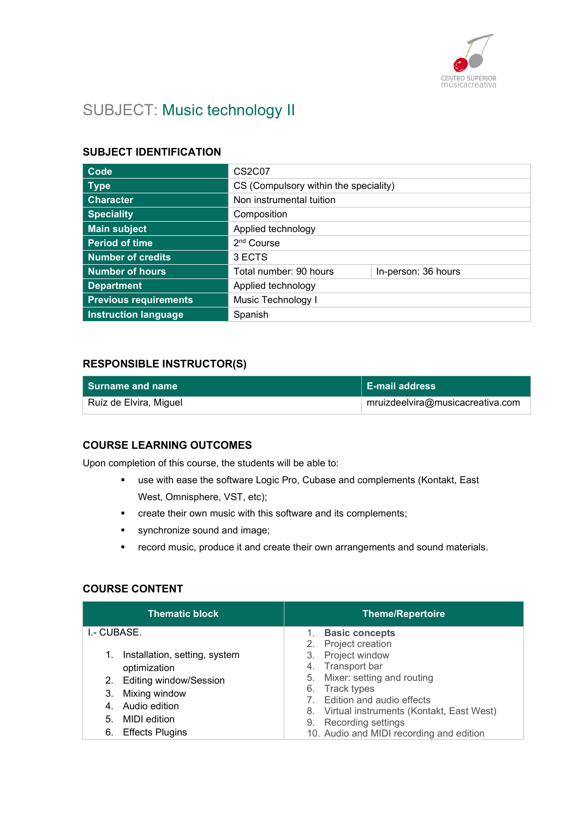

# SUBJECT: Music technology II

### SUBJECT IDENTIFICATION

| Code                         | CS2C07                                |                     |
|------------------------------|---------------------------------------|---------------------|
| <b>Type</b>                  | CS (Compulsory within the speciality) |                     |
| <b>Character</b>             | Non instrumental tuition              |                     |
| <b>Speciality</b>            | Composition                           |                     |
| <b>Main subject</b>          | Applied technology                    |                     |
| <b>Period of time</b>        | 2 <sup>nd</sup> Course                |                     |
| Number of credits            | 3 ECTS                                |                     |
| <b>Number of hours</b>       | Total number: 90 hours                | In-person: 36 hours |
| <b>Department</b>            | Applied technology                    |                     |
| <b>Previous requirements</b> | Music Technology I                    |                     |
| <b>Instruction language</b>  | Spanish                               |                     |

### RESPONSIBLE INSTRUCTOR(S)

| Surname and name       | <b>E-mail address</b>                   |
|------------------------|-----------------------------------------|
| Ruíz de Elvira, Miguel | $\top$ mruizdeelvira@musicacreativa.com |

#### COURSE LEARNING OUTCOMES

Upon completion of this course, the students will be able to:

- use with ease the software Logic Pro, Cubase and complements (Kontakt, East West, Omnisphere, VST, etc);
- **•** create their own music with this software and its complements;
- **synchronize sound and image;**
- **F** record music, produce it and create their own arrangements and sound materials.

#### COURSE CONTENT

| <b>Thematic block</b>                                                                                             | Theme/Repertoire                                                                                                                              |
|-------------------------------------------------------------------------------------------------------------------|-----------------------------------------------------------------------------------------------------------------------------------------------|
| I.- CUBASE.                                                                                                       | <b>Basic concepts</b><br>1.<br>2. Project creation                                                                                            |
| Installation, setting, system<br>1.<br>optimization<br><b>Editing window/Session</b><br>2.<br>Mixing window<br>3. | 3. Project window<br>4. Transport bar<br>Mixer: setting and routing<br>5.<br>Track types<br>6.                                                |
| Audio edition<br>4.<br>MIDI edition<br>5.<br><b>Effects Plugins</b><br>6.                                         | Edition and audio effects<br>8. Virtual instruments (Kontakt, East West)<br>9. Recording settings<br>10. Audio and MIDI recording and edition |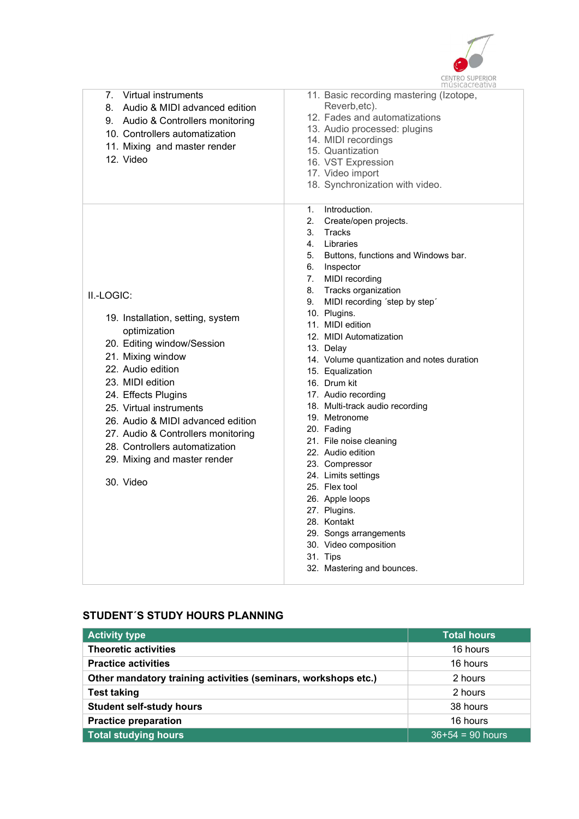

|                                                                                                                                                                                                                                                                                                                                                                         | <b>IIIUSICACI CALIVA</b>                                                                                                                                                                                                                                                                                                                                                                                                                                                                                                                                                                                                                                                                                                    |
|-------------------------------------------------------------------------------------------------------------------------------------------------------------------------------------------------------------------------------------------------------------------------------------------------------------------------------------------------------------------------|-----------------------------------------------------------------------------------------------------------------------------------------------------------------------------------------------------------------------------------------------------------------------------------------------------------------------------------------------------------------------------------------------------------------------------------------------------------------------------------------------------------------------------------------------------------------------------------------------------------------------------------------------------------------------------------------------------------------------------|
| Virtual instruments<br>7.<br>8.<br>Audio & MIDI advanced edition<br>9. Audio & Controllers monitoring<br>10. Controllers automatization<br>11. Mixing and master render<br>12. Video                                                                                                                                                                                    | 11. Basic recording mastering (Izotope,<br>Reverb, etc).<br>12. Fades and automatizations<br>13. Audio processed: plugins<br>14. MIDI recordings<br>15. Quantization<br>16. VST Expression<br>17. Video import<br>18. Synchronization with video.<br>1.<br>Introduction.                                                                                                                                                                                                                                                                                                                                                                                                                                                    |
| II.-LOGIC:<br>19. Installation, setting, system<br>optimization<br>20. Editing window/Session<br>21. Mixing window<br>22. Audio edition<br>23. MIDI edition<br>24. Effects Plugins<br>25. Virtual instruments<br>26. Audio & MIDI advanced edition<br>27. Audio & Controllers monitoring<br>28. Controllers automatization<br>29. Mixing and master render<br>30. Video | 2.<br>Create/open projects.<br>3.<br>Tracks<br>4. Libraries<br>Buttons, functions and Windows bar.<br>5.<br>6. Inspector<br>7. MIDI recording<br>8. Tracks organization<br>9. MIDI recording 'step by step'<br>10. Plugins.<br>11. MIDI edition<br>12. MIDI Automatization<br>13. Delay<br>14. Volume quantization and notes duration<br>15. Equalization<br>16. Drum kit<br>17. Audio recording<br>18. Multi-track audio recording<br>19. Metronome<br>20. Fading<br>21. File noise cleaning<br>22. Audio edition<br>23. Compressor<br>24. Limits settings<br>25. Flex tool<br>26. Apple loops<br>27. Plugins.<br>28. Kontakt<br>29. Songs arrangements<br>30. Video composition<br>31. Tips<br>32. Mastering and bounces. |

### STUDENT´S STUDY HOURS PLANNING

| <b>Activity type</b>                                           | <b>Total hours</b> |
|----------------------------------------------------------------|--------------------|
| <b>Theoretic activities</b>                                    | 16 hours           |
| <b>Practice activities</b>                                     | 16 hours           |
| Other mandatory training activities (seminars, workshops etc.) | 2 hours            |
| <b>Test taking</b>                                             | 2 hours            |
| <b>Student self-study hours</b>                                | 38 hours           |
| <b>Practice preparation</b>                                    | 16 hours           |
| <b>Total studying hours</b>                                    | $36+54 = 90$ hours |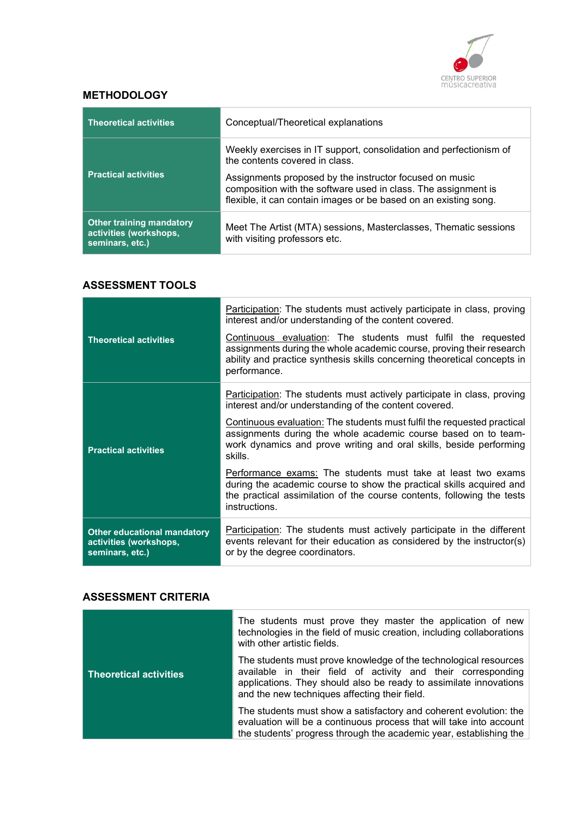

### **METHODOLOGY**

| <b>Theoretical activities</b>                                                | Conceptual/Theoretical explanations                                                                                                                                                           |
|------------------------------------------------------------------------------|-----------------------------------------------------------------------------------------------------------------------------------------------------------------------------------------------|
|                                                                              | Weekly exercises in IT support, consolidation and perfectionism of<br>the contents covered in class.                                                                                          |
| <b>Practical activities</b>                                                  | Assignments proposed by the instructor focused on music<br>composition with the software used in class. The assignment is<br>flexible, it can contain images or be based on an existing song. |
| <b>Other training mandatory</b><br>activities (workshops,<br>seminars, etc.) | Meet The Artist (MTA) sessions, Masterclasses, Thematic sessions<br>with visiting professors etc.                                                                                             |

#### ASSESSMENT TOOLS

| <b>Theoretical activities</b>                                            | Participation: The students must actively participate in class, proving<br>interest and/or understanding of the content covered.<br>Continuous evaluation: The students must fulfil the requested<br>assignments during the whole academic course, proving their research<br>ability and practice synthesis skills concerning theoretical concepts in<br>performance. |
|--------------------------------------------------------------------------|-----------------------------------------------------------------------------------------------------------------------------------------------------------------------------------------------------------------------------------------------------------------------------------------------------------------------------------------------------------------------|
|                                                                          | Participation: The students must actively participate in class, proving<br>interest and/or understanding of the content covered.                                                                                                                                                                                                                                      |
| <b>Practical activities</b>                                              | Continuous evaluation: The students must fulfil the requested practical<br>assignments during the whole academic course based on to team-<br>work dynamics and prove writing and oral skills, beside performing<br>skills.                                                                                                                                            |
|                                                                          | Performance exams: The students must take at least two exams<br>during the academic course to show the practical skills acquired and<br>the practical assimilation of the course contents, following the tests<br>instructions.                                                                                                                                       |
| Other educational mandatory<br>activities (workshops,<br>seminars, etc.) | Participation: The students must actively participate in the different<br>events relevant for their education as considered by the instructor(s)<br>or by the degree coordinators.                                                                                                                                                                                    |

#### ASSESSMENT CRITERIA

|                        | The students must prove they master the application of new<br>technologies in the field of music creation, including collaborations<br>with other artistic fields.                                                                                     |
|------------------------|--------------------------------------------------------------------------------------------------------------------------------------------------------------------------------------------------------------------------------------------------------|
| Theoretical activities | The students must prove knowledge of the technological resources<br>available in their field of activity and their corresponding<br>applications. They should also be ready to assimilate innovations<br>and the new techniques affecting their field. |
|                        | The students must show a satisfactory and coherent evolution: the<br>evaluation will be a continuous process that will take into account<br>the students' progress through the academic year, establishing the                                         |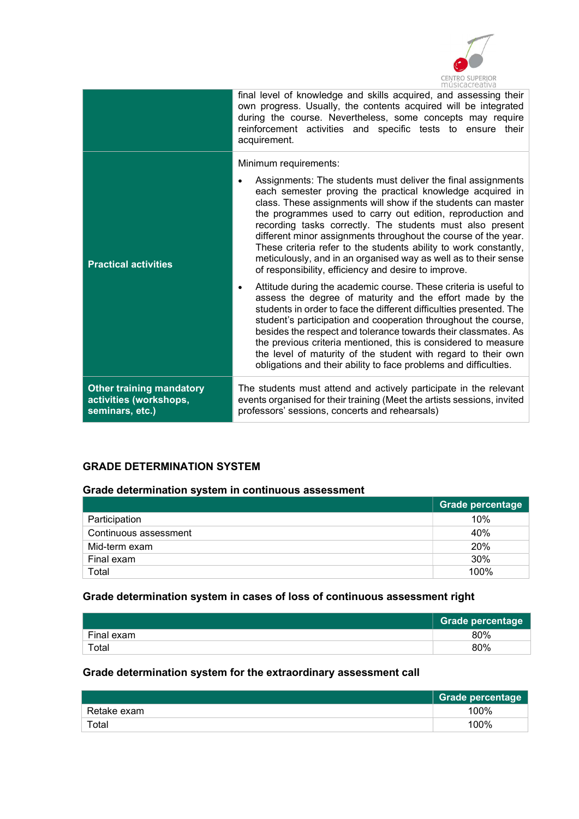

|                                                                              | THUSICACI CALIVA                                                                                                                                                                                                                                                                                                                                                                                                                                                                                                                                                                                                             |
|------------------------------------------------------------------------------|------------------------------------------------------------------------------------------------------------------------------------------------------------------------------------------------------------------------------------------------------------------------------------------------------------------------------------------------------------------------------------------------------------------------------------------------------------------------------------------------------------------------------------------------------------------------------------------------------------------------------|
|                                                                              | final level of knowledge and skills acquired, and assessing their<br>own progress. Usually, the contents acquired will be integrated<br>during the course. Nevertheless, some concepts may require<br>reinforcement activities and specific tests to ensure their<br>acquirement.                                                                                                                                                                                                                                                                                                                                            |
| <b>Practical activities</b>                                                  | Minimum requirements:<br>Assignments: The students must deliver the final assignments<br>$\bullet$<br>each semester proving the practical knowledge acquired in<br>class. These assignments will show if the students can master<br>the programmes used to carry out edition, reproduction and<br>recording tasks correctly. The students must also present<br>different minor assignments throughout the course of the year.<br>These criteria refer to the students ability to work constantly,<br>meticulously, and in an organised way as well as to their sense<br>of responsibility, efficiency and desire to improve. |
|                                                                              | Attitude during the academic course. These criteria is useful to<br>$\bullet$<br>assess the degree of maturity and the effort made by the<br>students in order to face the different difficulties presented. The<br>student's participation and cooperation throughout the course,<br>besides the respect and tolerance towards their classmates. As<br>the previous criteria mentioned, this is considered to measure<br>the level of maturity of the student with regard to their own<br>obligations and their ability to face problems and difficulties.                                                                  |
| <b>Other training mandatory</b><br>activities (workshops,<br>seminars, etc.) | The students must attend and actively participate in the relevant<br>events organised for their training (Meet the artists sessions, invited<br>professors' sessions, concerts and rehearsals)                                                                                                                                                                                                                                                                                                                                                                                                                               |

### GRADE DETERMINATION SYSTEM

## Grade determination system in continuous assessment

|                       | Grade percentage |
|-----------------------|------------------|
| Participation         | 10%              |
| Continuous assessment | 40%              |
| Mid-term exam         | 20%              |
| Final exam            | 30%              |
| Total                 | 100%             |

## Grade determination system in cases of loss of continuous assessment right

|                        | <b>Grade percentage</b> |
|------------------------|-------------------------|
| Final exam             | 80%                     |
| $\tau$ <sub>otal</sub> | 80%                     |

### Grade determination system for the extraordinary assessment call

|             | Grade percentage |
|-------------|------------------|
| Retake exam | 100%             |
| Total       | 100%             |